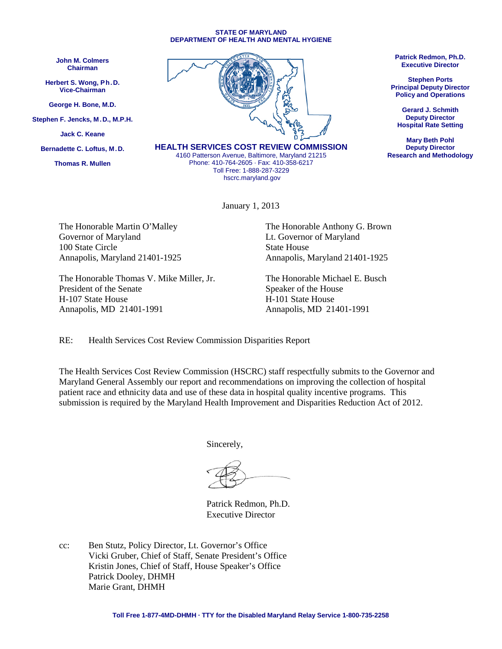#### **STATE OF MARYLAND DEPARTMENT OF HEALTH AND MENTAL HYGIENE**

**John M. Colmers Chairman**

**Herbert S. Wong, Ph.D. Vice-Chairman**

**George H. Bone, M.D.**

**Stephen F. Jencks, M.D., M.P.H.**

**Jack C. Keane**

**Bernadette C. Loftus, M.D.**

**Thomas R. Mullen**



**HEALTH SERVICES COST REVIEW COMMISSION** 4160 Patterson Avenue, Baltimore, Maryland 21215 Phone: 410-764-2605 · Fax: 410-358-6217 Toll Free: 1-888-287-3229

[hscrc.maryland.gov](http://www.hscrc.maryland.gov/)

January 1, 2013

Governor of Maryland Lt. Governor of Maryland 100 State Circle State House Annapolis, Maryland 21401-1925 Annapolis, Maryland 21401-1925

The Honorable Thomas V. Mike Miller, Jr. The Honorable Michael E. Busch President of the Senate Speaker of the House H-107 State House H-101 State House Annapolis, MD 21401-1991 Annapolis, MD 21401-1991

The Honorable Martin O'Malley The Honorable Anthony G. Brown

RE: Health Services Cost Review Commission Disparities Report

The Health Services Cost Review Commission (HSCRC) staff respectfully submits to the Governor and Maryland General Assembly our report and recommendations on improving the collection of hospital patient race and ethnicity data and use of these data in hospital quality incentive programs. This submission is required by the Maryland Health Improvement and Disparities Reduction Act of 2012.

Sincerely,

Patrick Redmon, Ph.D. Executive Director

cc: Ben Stutz, Policy Director, Lt. Governor's Office Vicki Gruber, Chief of Staff, Senate President's Office Kristin Jones, Chief of Staff, House Speaker's Office Patrick Dooley, DHMH Marie Grant, DHMH

**Patrick Redmon, Ph.D. Executive Director**

**Stephen Ports Principal Deputy Director Policy and Operations**

**Gerard J. Schmith Deputy Director Hospital Rate Setting**

**Mary Beth Pohl Deputy Director Research and Methodology**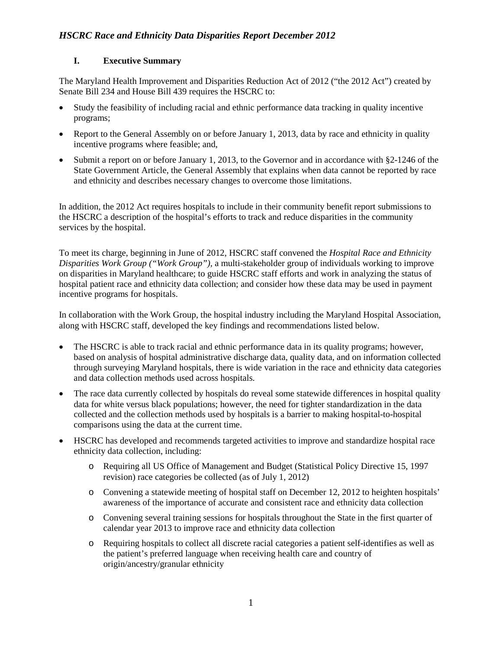#### **I. Executive Summary**

The Maryland Health Improvement and Disparities Reduction Act of 2012 ("the 2012 Act") created by [Senate Bill](http://mlis.state.md.us/2012rs/billfile/SB0234.htm) 234 and [House Bill 439 r](http://mlis.state.md.us/2012rs/billfile/HB0439.htm)equires the HSCRC to:

- Study the feasibility of including racial and ethnic performance data tracking in quality incentive programs;
- Report to the General Assembly on or before January 1, 2013, data by race and ethnicity in quality incentive programs where feasible; and,
- Submit a report on or before January 1, 2013, to the Governor and in accordance with §2-1246 of the State Government Article, the General Assembly that explains when data cannot be reported by race and ethnicity and describes necessary changes to overcome those limitations.

In addition, the 2012 Act requires hospitals to include in their community benefit report submissions to the HSCRC a description of the hospital's efforts to track and reduce disparities in the community services by the hospital.

To meet its charge, beginning in June of 2012, HSCRC staff convened the *Hospital Race and Ethnicity Disparities Work Group ("Work Group"),* a multi-stakeholder group of individuals working to improve on disparities in Maryland healthcare; to guide HSCRC staff efforts and work in analyzing the status of hospital patient race and ethnicity data collection; and consider how these data may be used in payment incentive programs for hospitals.

In collaboration with the Work Group, the hospital industry including the Maryland Hospital Association, along with HSCRC staff, developed the key findings and recommendations listed below.

- The HSCRC is able to track racial and ethnic performance data in its quality programs; however, based on analysis of hospital administrative discharge data, quality data, and on information collected through surveying Maryland hospitals, there is wide variation in the race and ethnicity data categories and data collection methods used across hospitals.
- The race data currently collected by hospitals do reveal some statewide differences in hospital quality data for white versus black populations; however, the need for tighter standardization in the data collected and the collection methods used by hospitals is a barrier to making hospital-to-hospital comparisons using the data at the current time.
- HSCRC has developed and recommends targeted activities to improve and standardize hospital race ethnicity data collection, including:
	- o Requiring all US Office of Management and Budget (Statistical Policy Directive 15, 1997 revision) race categories be collected (as of July 1, 2012)
	- o Convening a statewide meeting of hospital staff on December 12, 2012 to heighten hospitals' awareness of the importance of accurate and consistent race and ethnicity data collection
	- o Convening several training sessions for hospitals throughout the State in the first quarter of calendar year 2013 to improve race and ethnicity data collection
	- o Requiring hospitals to collect all discrete racial categories a patient self-identifies as well as the patient's preferred language when receiving health care and country of origin/ancestry/granular ethnicity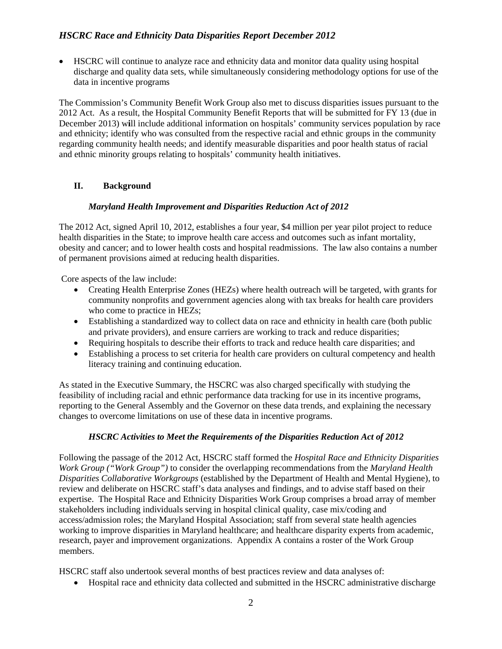• HSCRC will continue to analyze race and ethnicity data and monitor data quality using hospital discharge and quality data sets, while simultaneously considering methodology options for use of the data in incentive programs

The Commission's Community Benefit Work Group also met to discuss disparities issues pursuant to the 2012 Act. As a result, the Hospital Community Benefit Reports that will be submitted for FY 13 (due in December 2013) w**i**ll include additional information on hospitals' community services population by race and ethnicity; identify who was consulted from the respective racial and ethnic groups in the community regarding community health needs; and identify measurable disparities and poor health status of racial and ethnic minority groups relating to hospitals' community health initiatives.

#### **II. Background**

#### *Maryland Health Improvement and Disparities Reduction Act of 2012*

The 2012 Act, signed April 10, 2012, establishes a four year, \$4 million per year pilot project to reduce health disparities in the State; to improve health care access and outcomes such as infant mortality, obesity and cancer; and to lower health costs and hospital readmissions. The law also contains a number of permanent provisions aimed at reducing health disparities.

Core aspects of the law include:

- Creating Health Enterprise Zones (HEZs) where health outreach will be targeted, with grants for community nonprofits and government agencies along with tax breaks for health care providers who come to practice in HEZs;
- Establishing a standardized way to collect data on race and ethnicity in health care (both public and private providers), and ensure carriers are working to track and reduce disparities;
- Requiring hospitals to describe their efforts to track and reduce health care disparities; and
- Establishing a process to set criteria for health care providers on cultural competency and health literacy training and continuing education.

As stated in the Executive Summary, the HSCRC was also charged specifically with studying the feasibility of including racial and ethnic performance data tracking for use in its incentive programs, reporting to the General Assembly and the Governor on these data trends, and explaining the necessary changes to overcome limitations on use of these data in incentive programs.

#### *HSCRC Activities to Meet the Requirements of the Disparities Reduction Act of 2012*

Following the passage of the 2012 Act, HSCRC staff formed the *Hospital Race and Ethnicity Disparities Work Group ("Work Group")* to consider the overlapping recommendations from the *Maryland Health Disparities Collaborative Workgroups* (established by the Department of Health and Mental Hygiene), to review and deliberate on HSCRC staff's data analyses and findings, and to advise staff based on their expertise. The Hospital Race and Ethnicity Disparities Work Group comprises a broad array of member stakeholders including individuals serving in hospital clinical quality, case mix/coding and access/admission roles; the Maryland Hospital Association; staff from several state health agencies working to improve disparities in Maryland healthcare; and healthcare disparity experts from academic, research, payer and improvement organizations. Appendix A contains a roster of the Work Group members.

HSCRC staff also undertook several months of best practices review and data analyses of:

• Hospital race and ethnicity data collected and submitted in the HSCRC administrative discharge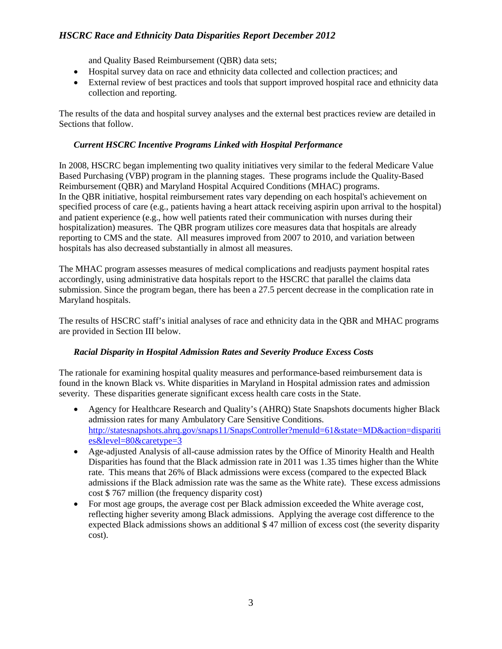and Quality Based Reimbursement (QBR) data sets;

- Hospital survey data on race and ethnicity data collected and collection practices; and
- External review of best practices and tools that support improved hospital race and ethnicity data collection and reporting.

The results of the data and hospital survey analyses and the external best practices review are detailed in Sections that follow.

#### *Current HSCRC Incentive Programs Linked with Hospital Performance*

In 2008, HSCRC began implementing two quality initiatives very similar to the federal Medicare Value Based Purchasing (VBP) program in the planning stages. These programs include the Quality-Based Reimbursement (QBR) and Maryland Hospital Acquired Conditions (MHAC) programs. In the QBR initiative, hospital reimbursement rates vary depending on each hospital's achievement on specified process of care (e.g., patients having a heart attack receiving aspirin upon arrival to the hospital) and patient experience (e.g., how well patients rated their communication with nurses during their hospitalization) measures. The QBR program utilizes core measures data that hospitals are already reporting to CMS and the state. All measures improved from 2007 to 2010, and variation between hospitals has also decreased substantially in almost all measures.

The MHAC program assesses measures of medical complications and readjusts payment hospital rates accordingly, using administrative data hospitals report to the HSCRC that parallel the claims data submission. Since the program began, there has been a 27.5 percent decrease in the complication rate in Maryland hospitals.

The results of HSCRC staff's initial analyses of race and ethnicity data in the QBR and MHAC programs are provided in Section III below.

#### *Racial Disparity in Hospital Admission Rates and Severity Produce Excess Costs*

The rationale for examining hospital quality measures and performance-based reimbursement data is found in the known Black vs. White disparities in Maryland in Hospital admission rates and admission severity. These disparities generate significant excess health care costs in the State.

- Agency for Healthcare Research and Quality's (AHRQ) State Snapshots documents higher Black admission rates for many Ambulatory Care Sensitive Conditions. [http://statesnapshots.ahrq.gov/snaps11/SnapsController?menuId=61&state=MD&action=dispariti](http://statesnapshots.ahrq.gov/snaps11/SnapsController?menuId=61&state=MD&action=disparities&level=80&caretype=3) [es&level=80&caretype=3](http://statesnapshots.ahrq.gov/snaps11/SnapsController?menuId=61&state=MD&action=disparities&level=80&caretype=3)
- Age-adjusted Analysis of all-cause admission rates by the Office of Minority Health and Health Disparities has found that the Black admission rate in 2011 was 1.35 times higher than the White rate. This means that 26% of Black admissions were excess (compared to the expected Black admissions if the Black admission rate was the same as the White rate). These excess admissions cost \$ 767 million (the frequency disparity cost)
- For most age groups, the average cost per Black admission exceeded the White average cost, reflecting higher severity among Black admissions. Applying the average cost difference to the expected Black admissions shows an additional \$ 47 million of excess cost (the severity disparity cost).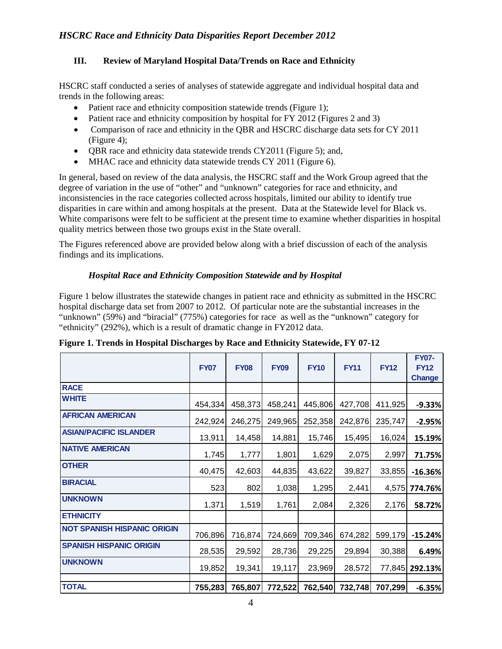#### **III. Review of Maryland Hospital Data/Trends on Race and Ethnicity**

HSCRC staff conducted a series of analyses of statewide aggregate and individual hospital data and trends in the following areas:

- Patient race and ethnicity composition statewide trends (Figure 1);
- Patient race and ethnicity composition by hospital for FY 2012 (Figures 2 and 3)
- Comparison of race and ethnicity in the QBR and HSCRC discharge data sets for CY 2011 (Figure 4);
- OBR race and ethnicity data statewide trends CY2011 (Figure 5); and,
- MHAC race and ethnicity data statewide trends CY 2011 (Figure 6).

In general, based on review of the data analysis, the HSCRC staff and the Work Group agreed that the degree of variation in the use of "other" and "unknown" categories for race and ethnicity, and inconsistencies in the race categories collected across hospitals, limited our ability to identify true disparities in care within and among hospitals at the present. Data at the Statewide level for Black vs. White comparisons were felt to be sufficient at the present time to examine whether disparities in hospital quality metrics between those two groups exist in the State overall.

The Figures referenced above are provided below along with a brief discussion of each of the analysis findings and its implications.

#### *Hospital Race and Ethnicity Composition Statewide and by Hospital*

Figure 1 below illustrates the statewide changes in patient race and ethnicity as submitted in the HSCRC hospital discharge data set from 2007 to 2012. Of particular note are the substantial increases in the "unknown" (59%) and "biracial" (775%) categories for race as well as the "unknown" category for "ethnicity" (292%), which is a result of dramatic change in FY2012 data.

|                                    | <b>FY07</b> | <b>FY08</b> | <b>FY09</b> | <b>FY10</b> | <b>FY11</b> | <b>FY12</b> | <b>FY07-</b><br><b>FY12</b><br><b>Change</b> |
|------------------------------------|-------------|-------------|-------------|-------------|-------------|-------------|----------------------------------------------|
| <b>RACE</b>                        |             |             |             |             |             |             |                                              |
| <b>WHITE</b>                       | 454,334     | 458,373     | 458,241     | 445,806     | 427,708     | 411,925     | $-9.33%$                                     |
| <b>AFRICAN AMERICAN</b>            | 242,924     | 246,275     | 249,965     | 252,358     | 242,876     | 235,747     | $-2.95%$                                     |
| <b>ASIAN/PACIFIC ISLANDER</b>      | 13,911      | 14,458      | 14,881      | 15,746      | 15,495      | 16,024      | 15.19%                                       |
| <b>NATIVE AMERICAN</b>             | 1,745       | 1,777       | 1,801       | 1,629       | 2,075       | 2,997       | 71.75%                                       |
| <b>OTHER</b>                       | 40,475      | 42,603      | 44,835      | 43,622      | 39,827      | 33,855      | $-16.36%$                                    |
| <b>BIRACIAL</b>                    | 523         | 802         | 1,038       | 1,295       | 2,441       |             | 4,575 774.76%                                |
| <b>UNKNOWN</b>                     | 1,371       | 1,519       | 1,761       | 2,084       | 2,326       | 2,176       | 58.72%                                       |
| <b>ETHNICITY</b>                   |             |             |             |             |             |             |                                              |
| <b>NOT SPANISH HISPANIC ORIGIN</b> | 706,896     | 716,874     | 724,669     | 709,346     | 674,282     | 599,179     | $-15.24%$                                    |
| <b>SPANISH HISPANIC ORIGIN</b>     | 28,535      | 29,592      | 28,736      | 29,225      | 29,894      | 30,388      | 6.49%                                        |
| <b>UNKNOWN</b>                     | 19,852      | 19,341      | 19,117      | 23,969      | 28,572      |             | 77,845 292.13%                               |
|                                    |             |             |             |             |             |             |                                              |
| <b>TOTAL</b>                       | 755,283     | 765,807     | 772,522     | 762,540     | 732,748     | 707,299     | $-6.35%$                                     |

**Figure 1. Trends in Hospital Discharges by Race and Ethnicity Statewide, FY 07-12**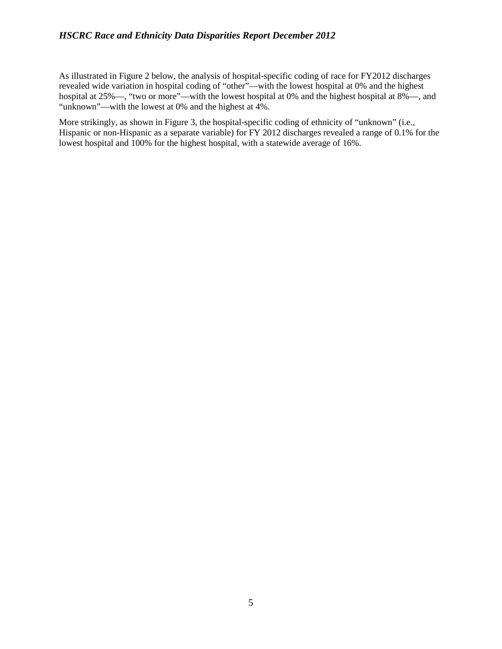As illustrated in Figure 2 below, the analysis of hospital-specific coding of race for FY2012 discharges revealed wide variation in hospital coding of "other"—with the lowest hospital at 0% and the highest hospital at 25%—, "two or more"—with the lowest hospital at 0% and the highest hospital at 8%—, and "unknown"—with the lowest at 0% and the highest at 4%.

More strikingly, as shown in Figure 3, the hospital-specific coding of ethnicity of "unknown" (i.e., Hispanic or non-Hispanic as a separate variable) for FY 2012 discharges revealed a range of 0.1% for the lowest hospital and 100% for the highest hospital, with a statewide average of 16%.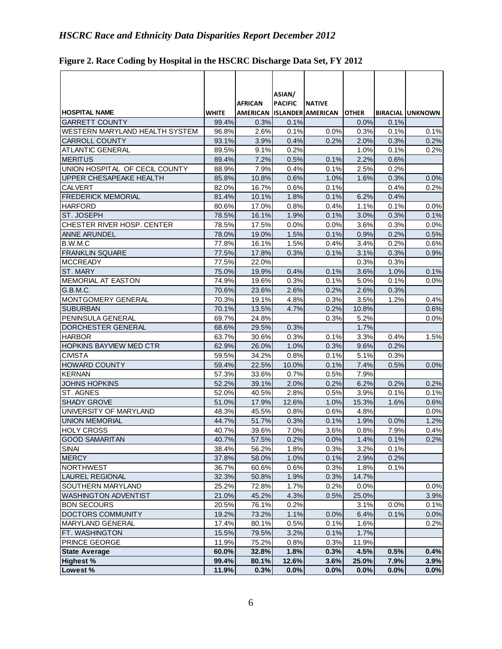| <b>HOSPITAL NAME</b>           | WHITE          | <b>AFRICAN</b> | ASIAN/<br><b>PACIFIC</b> | <b>INATIVE</b><br>AMERICAN ISLANDER AMERICAN | <b>OTHER</b> |              | <b>BIRACIAL UNKNOWN</b> |
|--------------------------------|----------------|----------------|--------------------------|----------------------------------------------|--------------|--------------|-------------------------|
| <b>GARRETT COUNTY</b>          | 99.4%          | 0.3%           | 0.1%                     |                                              | 0.0%         | 0.1%         |                         |
| WESTERN MARYLAND HEALTH SYSTEM | 96.8%          | 2.6%           | 0.1%                     | 0.0%                                         | 0.3%         | 0.1%         | 0.1%                    |
| <b>CARROLL COUNTY</b>          | 93.1%          | 3.9%           | 0.4%                     | 0.2%                                         | 2.0%         | 0.3%         | 0.2%                    |
| <b>ATLANTIC GENERAL</b>        | 89.5%          | 9.1%           | 0.2%                     |                                              | 1.0%         | 0.1%         | 0.2%                    |
| <b>MERITUS</b>                 | 89.4%          | 7.2%           | 0.5%                     | 0.1%                                         | 2.2%         | 0.6%         |                         |
| UNION HOSPITAL OF CECIL COUNTY | 88.9%          | 7.9%           | 0.4%                     | 0.1%                                         | 2.5%         | 0.2%         |                         |
| UPPER CHESAPEAKE HEALTH        | 85.8%          | 10.8%          | 0.6%                     | 1.0%                                         | 1.6%         | 0.3%         | 0.0%                    |
| <b>CALVERT</b>                 | 82.0%          | 16.7%          | 0.6%                     | 0.1%                                         |              | 0.4%         | 0.2%                    |
| <b>FREDERICK MEMORIAL</b>      | 81.4%          | 10.1%          | 1.8%                     | 0.1%                                         | 6.2%         | 0.4%         |                         |
| <b>HARFORD</b>                 | 80.6%          | 17.0%          | 0.8%                     | 0.4%                                         | 1.1%         | 0.1%         | 0.0%                    |
| <b>ST. JOSEPH</b>              | 78.5%          | 16.1%          | 1.9%                     | 0.1%                                         | 3.0%         | 0.3%         | 0.1%                    |
| CHESTER RIVER HOSP. CENTER     | 78.5%          | 17.5%          | 0.0%                     | 0.0%                                         | 3.6%         | 0.3%         | 0.0%                    |
| <b>ANNE ARUNDEL</b>            | 78.0%          | 19.0%          | 1.5%                     | 0.1%                                         | 0.9%         | 0.2%         | 0.5%                    |
| B.W.M.C                        | 77.8%          | 16.1%          | 1.5%                     | 0.4%                                         | 3.4%         | 0.2%         | 0.6%                    |
| <b>FRANKLIN SQUARE</b>         | 77.5%          | 17.8%          | 0.3%                     | 0.1%                                         | 3.1%         | 0.3%         | 0.9%                    |
| <b>MCCREADY</b>                | 77.5%          | 22.0%          |                          |                                              | 0.3%         | 0.3%         |                         |
| ST. MARY                       | 75.0%          | 19.9%          | 0.4%                     | 0.1%                                         | 3.6%         | 1.0%         | 0.1%                    |
| <b>MEMORIAL AT EASTON</b>      | 74.9%          | 19.6%          | 0.3%                     | 0.1%                                         | 5.0%         | 0.1%         | 0.0%                    |
| G.B.M.C.                       | 70.6%          | 23.6%          | 2.6%                     | 0.2%                                         | 2.6%         | 0.3%         |                         |
| MONTGOMERY GENERAL             | 70.3%          | 19.1%          | 4.8%                     | 0.3%                                         | 3.5%         | 1.2%         | 0.4%                    |
| <b>SUBURBAN</b>                | 70.1%          | 13.5%          | 4.7%                     | 0.2%                                         | 10.8%        |              | 0.6%                    |
| PENINSULA GENERAL              | 69.7%          | 24.8%          |                          | 0.3%                                         | 5.2%         |              | 0.0%                    |
| DORCHESTER GENERAL             | 68.6%          | 29.5%          | 0.3%                     |                                              | 1.7%         |              |                         |
| <b>HARBOR</b>                  | 63.7%          | 30.6%          | 0.3%                     | 0.1%                                         | 3.3%         | 0.4%         | 1.5%                    |
| <b>HOPKINS BAYVIEW MED CTR</b> | 62.9%          | 26.0%          | 1.0%                     | 0.3%                                         | 9.6%         | 0.2%         |                         |
| <b>CIVISTA</b>                 | 59.5%          | 34.2%          | 0.8%                     | 0.1%                                         | 5.1%         | 0.3%         |                         |
| <b>HOWARD COUNTY</b>           | 59.4%          | 22.5%          | 10.0%                    | 0.1%                                         | 7.4%         | 0.5%         | 0.0%                    |
| <b>KERNAN</b>                  | 57.3%          | 33.6%          | 0.7%                     | 0.5%                                         | 7.9%         |              |                         |
| <b>JOHNS HOPKINS</b>           | 52.2%          | 39.1%          | 2.0%                     | 0.2%                                         | 6.2%         | 0.2%         | 0.2%                    |
| <b>ST. AGNES</b>               | 52.0%          | 40.5%          | 2.8%                     | 0.5%                                         | 3.9%         | 0.1%         |                         |
| <b>SHADY GROVE</b>             | 51.0%          | 17.9%          | 12.6%                    | 1.0%                                         | 15.3%        | 1.6%         | 0.1%<br>0.6%            |
| UNIVERSITY OF MARYLAND         |                |                |                          |                                              | 4.8%         |              |                         |
| <b>UNION MEMORIAL</b>          | 48.3%          | 45.5%          | 0.8%                     | 0.6%                                         |              |              | 0.0%                    |
| <b>HOLY CROSS</b>              | 44.7%<br>40.7% | 51.7%<br>39.6% | 0.3%<br>7.0%             | 0.1%<br>3.6%                                 | 1.9%<br>0.8% | 0.0%<br>7.9% | 1.2%<br>0.4%            |
|                                |                |                |                          |                                              |              |              |                         |
| <b>GOOD SAMARITAN</b><br>SINAI | 40.7%          | 57.5%          | 0.2%                     | 0.0%                                         | 1.4%         | 0.1%         | 0.2%                    |
|                                | 38.4%          | 56.2%          | 1.8%                     | 0.3%                                         | 3.2%         | 0.1%         |                         |
| <b>MERCY</b>                   | 37.8%          | 58.0%          | 1.0%                     | 0.1%                                         | 2.9%         | 0.2%         |                         |
| <b>NORTHWEST</b>               | 36.7%          | 60.6%          | 0.6%                     | 0.3%                                         | 1.8%         | 0.1%         |                         |
| <b>LAUREL REGIONAL</b>         | 32.3%          | 50.8%          | 1.9%                     | 0.3%                                         | 14.7%        |              |                         |
| SOUTHERN MARYLAND              | 25.2%          | 72.8%          | 1.7%                     | 0.2%                                         | 0.0%         |              | 0.0%                    |
| <b>WASHINGTON ADVENTIST</b>    | 21.0%          | 45.2%          | 4.3%                     | 0.5%                                         | 25.0%        |              | 3.9%                    |
| <b>BON SECOURS</b>             | 20.5%          | 76.1%          | 0.2%                     |                                              | 3.1%         | 0.0%         | 0.1%                    |
| DOCTORS COMMUNITY              | 19.2%          | 73.2%          | 1.1%                     | 0.0%                                         | 6.4%         | 0.1%         | 0.0%                    |
| MARYLAND GENERAL               | 17.4%          | 80.1%          | 0.5%                     | 0.1%                                         | 1.6%         |              | 0.2%                    |
| FT. WASHINGTON                 | 15.5%          | 79.5%          | 3.2%                     | 0.1%                                         | 1.7%         |              |                         |
| <b>PRINCE GEORGE</b>           | 11.9%          | 75.2%          | 0.8%                     | 0.3%                                         | 11.9%        |              |                         |
| <b>State Average</b>           | 60.0%          | 32.8%          | 1.8%                     | 0.3%                                         | 4.5%         | 0.5%         | 0.4%                    |
| <b>Highest %</b>               | 99.4%          | 80.1%          | 12.6%                    | 3.6%                                         | 25.0%        | 7.9%         | 3.9%                    |
| Lowest %                       | 11.9%          | 0.3%           | 0.0%                     | 0.0%                                         | 0.0%         | 0.0%         | 0.0%                    |

### **Figure 2. Race Coding by Hospital in the HSCRC Discharge Data Set, FY 2012**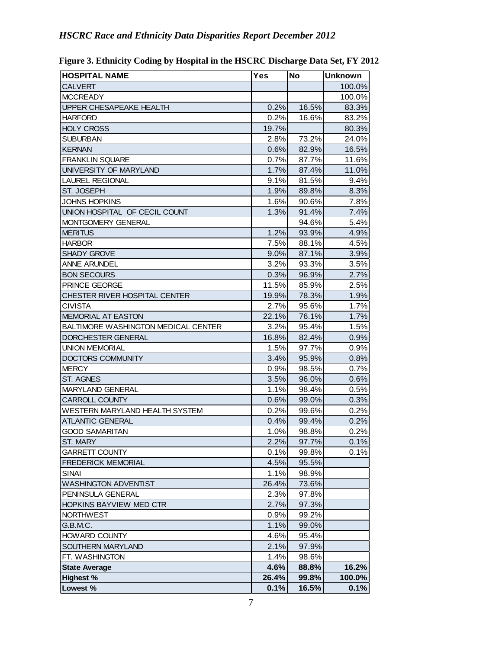| <b>HOSPITAL NAME</b>                | Yes   | <b>No</b> | <b>Unknown</b> |
|-------------------------------------|-------|-----------|----------------|
| <b>CALVERT</b>                      |       |           | 100.0%         |
| <b>MCCREADY</b>                     |       |           | 100.0%         |
| UPPER CHESAPEAKE HEALTH             | 0.2%  | 16.5%     | 83.3%          |
| <b>HARFORD</b>                      | 0.2%  | 16.6%     | 83.2%          |
| <b>HOLY CROSS</b>                   | 19.7% |           | 80.3%          |
| <b>SUBURBAN</b>                     | 2.8%  | 73.2%     | 24.0%          |
| <b>KERNAN</b>                       | 0.6%  | 82.9%     | 16.5%          |
| <b>FRANKLIN SQUARE</b>              | 0.7%  | 87.7%     | 11.6%          |
| UNIVERSITY OF MARYLAND              | 1.7%  | 87.4%     | 11.0%          |
| <b>LAUREL REGIONAL</b>              | 9.1%  | 81.5%     | 9.4%           |
| ST. JOSEPH                          | 1.9%  | 89.8%     | 8.3%           |
| <b>JOHNS HOPKINS</b>                | 1.6%  | 90.6%     | 7.8%           |
| UNION HOSPITAL OF CECIL COUNT       | 1.3%  | 91.4%     | 7.4%           |
| MONTGOMERY GENERAL                  |       | 94.6%     | 5.4%           |
| <b>MERITUS</b>                      | 1.2%  | 93.9%     | 4.9%           |
| <b>HARBOR</b>                       | 7.5%  | 88.1%     | 4.5%           |
| <b>SHADY GROVE</b>                  | 9.0%  | 87.1%     | 3.9%           |
| <b>ANNE ARUNDEL</b>                 | 3.2%  | 93.3%     | 3.5%           |
| <b>BON SECOURS</b>                  | 0.3%  | 96.9%     | 2.7%           |
| PRINCE GEORGE                       | 11.5% | 85.9%     | 2.5%           |
| CHESTER RIVER HOSPITAL CENTER       | 19.9% | 78.3%     | 1.9%           |
| <b>CIVISTA</b>                      | 2.7%  | 95.6%     | 1.7%           |
| <b>MEMORIAL AT EASTON</b>           | 22.1% | 76.1%     | 1.7%           |
| BALTIMORE WASHINGTON MEDICAL CENTER | 3.2%  | 95.4%     | 1.5%           |
| DORCHESTER GENERAL                  | 16.8% | 82.4%     | 0.9%           |
| <b>UNION MEMORIAL</b>               | 1.5%  | 97.7%     | 0.9%           |
| <b>DOCTORS COMMUNITY</b>            | 3.4%  | 95.9%     | 0.8%           |
| <b>MERCY</b>                        | 0.9%  | 98.5%     | 0.7%           |
| ST. AGNES                           | 3.5%  | 96.0%     | 0.6%           |
| MARYLAND GENERAL                    | 1.1%  | 98.4%     | 0.5%           |
| CARROLL COUNTY                      | 0.6%  | 99.0%     | 0.3%           |
| WESTERN MARYLAND HEALTH SYSTEM      | 0.2%  | 99.6%     | 0.2%           |
| <b>ATLANTIC GENERAL</b>             | 0.4%  | 99.4%     | 0.2%           |
| <b>GOOD SAMARITAN</b>               | 1.0%  | 98.8%     | 0.2%           |
| ST. MARY                            | 2.2%  | 97.7%     | 0.1%           |
| <b>GARRETT COUNTY</b>               | 0.1%  | 99.8%     | 0.1%           |
| <b>FREDERICK MEMORIAL</b>           | 4.5%  | 95.5%     |                |
|                                     |       |           |                |
| SINAI                               | 1.1%  | 98.9%     |                |
| <b>WASHINGTON ADVENTIST</b>         | 26.4% | 73.6%     |                |
| PENINSULA GENERAL                   | 2.3%  | 97.8%     |                |
| HOPKINS BAYVIEW MED CTR             | 2.7%  | 97.3%     |                |
| <b>NORTHWEST</b>                    | 0.9%  | 99.2%     |                |
| G.B.M.C.                            | 1.1%  | 99.0%     |                |
| <b>HOWARD COUNTY</b>                | 4.6%  | 95.4%     |                |
| SOUTHERN MARYLAND                   | 2.1%  | 97.9%     |                |
| FT. WASHINGTON                      | 1.4%  | 98.6%     |                |
| <b>State Average</b>                | 4.6%  | 88.8%     | 16.2%          |
| <b>Highest %</b>                    | 26.4% | 99.8%     | 100.0%         |
| Lowest %                            | 0.1%  | 16.5%     | 0.1%           |

**Figure 3. Ethnicity Coding by Hospital in the HSCRC Discharge Data Set, FY 2012**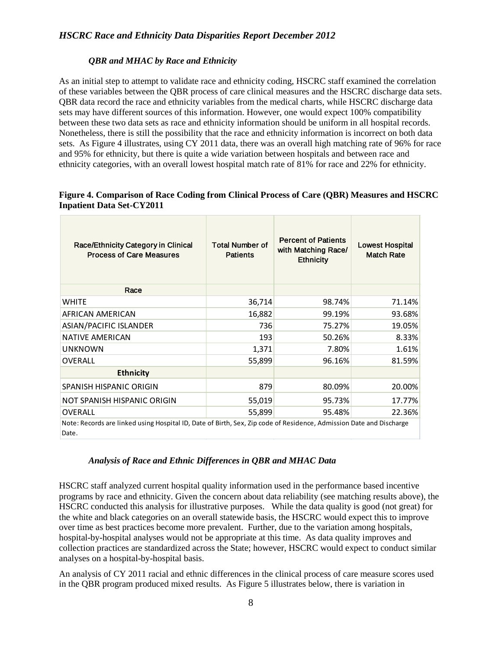#### *QBR and MHAC by Race and Ethnicity*

As an initial step to attempt to validate race and ethnicity coding, HSCRC staff examined the correlation of these variables between the QBR process of care clinical measures and the HSCRC discharge data sets. QBR data record the race and ethnicity variables from the medical charts, while HSCRC discharge data sets may have different sources of this information. However, one would expect 100% compatibility between these two data sets as race and ethnicity information should be uniform in all hospital records. Nonetheless, there is still the possibility that the race and ethnicity information is incorrect on both data sets. As Figure 4 illustrates, using CY 2011 data, there was an overall high matching rate of 96% for race and 95% for ethnicity, but there is quite a wide variation between hospitals and between race and ethnicity categories, with an overall lowest hospital match rate of 81% for race and 22% for ethnicity.

#### **Figure 4. Comparison of Race Coding from Clinical Process of Care (QBR) Measures and HSCRC Inpatient Data Set-CY2011**

| Race/Ethnicity Category in Clinical<br><b>Process of Care Measures</b>                                                       | <b>Total Number of</b><br><b>Patients</b> | <b>Percent of Patients</b><br>with Matching Race/<br><b>Ethnicity</b> | <b>Lowest Hospital</b><br><b>Match Rate</b> |
|------------------------------------------------------------------------------------------------------------------------------|-------------------------------------------|-----------------------------------------------------------------------|---------------------------------------------|
| Race                                                                                                                         |                                           |                                                                       |                                             |
| <b>WHITE</b>                                                                                                                 | 36,714                                    | 98.74%                                                                | 71.14%                                      |
| AFRICAN AMERICAN                                                                                                             | 16,882                                    | 99.19%                                                                | 93.68%                                      |
| <b>ASIAN/PACIFIC ISLANDER</b>                                                                                                | 736                                       | 75.27%                                                                | 19.05%                                      |
| <b>NATIVE AMERICAN</b>                                                                                                       | 193                                       | 50.26%                                                                | 8.33%                                       |
| <b>UNKNOWN</b>                                                                                                               | 1,371                                     | 7.80%                                                                 | 1.61%                                       |
| <b>OVERALL</b>                                                                                                               | 55,899                                    | 96.16%                                                                | 81.59%                                      |
| <b>Ethnicity</b>                                                                                                             |                                           |                                                                       |                                             |
| SPANISH HISPANIC ORIGIN                                                                                                      | 879                                       | 80.09%                                                                | 20.00%                                      |
| NOT SPANISH HISPANIC ORIGIN                                                                                                  | 55,019                                    | 95.73%                                                                | 17.77%                                      |
| <b>OVERALL</b>                                                                                                               | 55,899                                    | 95.48%                                                                | 22.36%                                      |
| Note: Records are linked using Hospital ID, Date of Birth, Sex, Zip code of Residence, Admission Date and Discharge<br>Date. |                                           |                                                                       |                                             |

#### *Analysis of Race and Ethnic Differences in QBR and MHAC Data*

HSCRC staff analyzed current hospital quality information used in the performance based incentive programs by race and ethnicity. Given the concern about data reliability (see matching results above), the HSCRC conducted this analysis for illustrative purposes. While the data quality is good (not great) for the white and black categories on an overall statewide basis, the HSCRC would expect this to improve over time as best practices become more prevalent. Further, due to the variation among hospitals, hospital-by-hospital analyses would not be appropriate at this time. As data quality improves and collection practices are standardized across the State; however, HSCRC would expect to conduct similar analyses on a hospital-by-hospital basis.

An analysis of CY 2011 racial and ethnic differences in the clinical process of care measure scores used in the QBR program produced mixed results. As Figure 5 illustrates below, there is variation in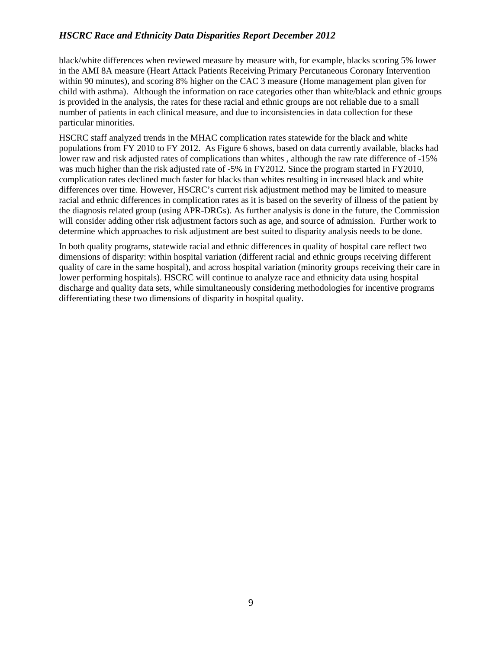black/white differences when reviewed measure by measure with, for example, blacks scoring 5% lower in the AMI 8A measure (Heart Attack Patients Receiving Primary Percutaneous Coronary Intervention within 90 minutes), and scoring 8% higher on the CAC 3 measure (Home management plan given for child with asthma). Although the information on race categories other than white/black and ethnic groups is provided in the analysis, the rates for these racial and ethnic groups are not reliable due to a small number of patients in each clinical measure, and due to inconsistencies in data collection for these particular minorities.

HSCRC staff analyzed trends in the MHAC complication rates statewide for the black and white populations from FY 2010 to FY 2012. As Figure 6 shows, based on data currently available, blacks had lower raw and risk adjusted rates of complications than whites , although the raw rate difference of -15% was much higher than the risk adjusted rate of -5% in FY2012. Since the program started in FY2010, complication rates declined much faster for blacks than whites resulting in increased black and white differences over time. However, HSCRC's current risk adjustment method may be limited to measure racial and ethnic differences in complication rates as it is based on the severity of illness of the patient by the diagnosis related group (using APR-DRGs). As further analysis is done in the future, the Commission will consider adding other risk adjustment factors such as age, and source of admission. Further work to determine which approaches to risk adjustment are best suited to disparity analysis needs to be done.

In both quality programs, statewide racial and ethnic differences in quality of hospital care reflect two dimensions of disparity: within hospital variation (different racial and ethnic groups receiving different quality of care in the same hospital), and across hospital variation (minority groups receiving their care in lower performing hospitals). HSCRC will continue to analyze race and ethnicity data using hospital discharge and quality data sets, while simultaneously considering methodologies for incentive programs differentiating these two dimensions of disparity in hospital quality.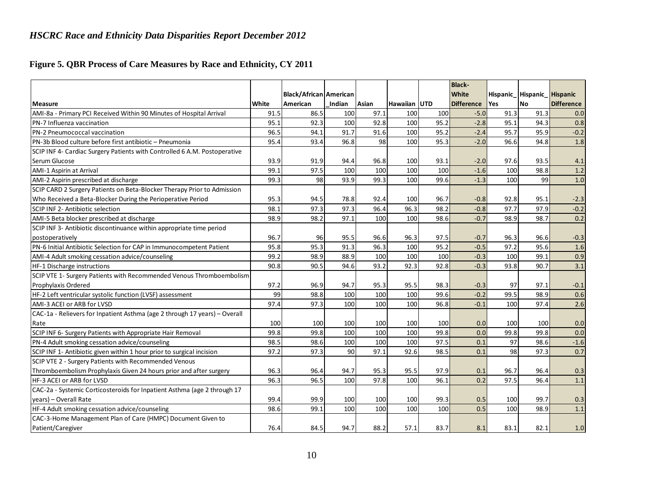### **Figure 5. QBR Process of Care Measures by Race and Ethnicity, CY 2011**

|                                                                            |       |                               |        |       |              |      | <b>Black-</b>     |      |                            |                   |
|----------------------------------------------------------------------------|-------|-------------------------------|--------|-------|--------------|------|-------------------|------|----------------------------|-------------------|
|                                                                            |       | <b>Black/African American</b> |        |       |              |      | White             |      | Hispanic Hispanic Hispanic |                   |
| <b>Measure</b>                                                             | White | American                      | Indian | Asian | Hawaiian UTD |      | <b>Difference</b> | Yes  | <b>No</b>                  | <b>Difference</b> |
| AMI-8a - Primary PCI Received Within 90 Minutes of Hospital Arrival        | 91.5  | 86.5                          | 100    | 97.1  | 100          | 100  | $-5.0$            | 91.3 | 91.3                       | 0.0               |
| PN-7 Influenza vaccination                                                 | 95.1  | 92.3                          | 100    | 92.8  | 100          | 95.2 | $-2.8$            | 95.1 | 94.3                       | 0.8               |
| PN-2 Pneumococcal vaccination                                              | 96.5  | 94.1                          | 91.7   | 91.6  | 100          | 95.2 | $-2.4$            | 95.7 | 95.9                       | $-0.2$            |
| PN-3b Blood culture before first antibiotic - Pneumonia                    | 95.4  | 93.4                          | 96.8   | 98    | 100          | 95.3 | $-2.0$            | 96.6 | 94.8                       | 1.8               |
| SCIP INF 4- Cardiac Surgery Patients with Controlled 6 A.M. Postoperative  |       |                               |        |       |              |      |                   |      |                            |                   |
| Serum Glucose                                                              | 93.9  | 91.9                          | 94.4   | 96.8  | 100          | 93.1 | $-2.0$            | 97.6 | 93.5                       | 4.1               |
| AMI-1 Aspirin at Arrival                                                   | 99.1  | 97.5                          | 100    | 100   | 100          | 100  | $-1.6$            | 100  | 98.8                       | 1.2               |
| AMI-2 Aspirin prescribed at discharge                                      | 99.3  | 98                            | 93.9   | 99.3  | 100          | 99.6 | $-1.3$            | 100  | 99                         | 1.0               |
| SCIP CARD 2 Surgery Patients on Beta-Blocker Therapy Prior to Admission    |       |                               |        |       |              |      |                   |      |                            |                   |
| Who Received a Beta-Blocker During the Perioperative Period                | 95.3  | 94.5                          | 78.8   | 92.4  | 100          | 96.7 | $-0.8$            | 92.8 | 95.1                       | $-2.3$            |
| SCIP INF 2- Antibiotic selection                                           | 98.1  | 97.3                          | 97.3   | 96.4  | 96.3         | 98.2 | $-0.8$            | 97.7 | 97.9                       | $-0.2$            |
| AMI-5 Beta blocker prescribed at discharge                                 | 98.9  | 98.2                          | 97.1   | 100   | 100          | 98.6 | $-0.7$            | 98.9 | 98.7                       | 0.2               |
| SCIP INF 3- Antibiotic discontinuance within appropriate time period       |       |                               |        |       |              |      |                   |      |                            |                   |
| postoperatively                                                            | 96.7  | 96                            | 95.5   | 96.6  | 96.3         | 97.5 | $-0.7$            | 96.3 | 96.6                       | $-0.3$            |
| PN-6 Initial Antibiotic Selection for CAP in Immunocompetent Patient       | 95.8  | 95.3                          | 91.3   | 96.3  | 100          | 95.2 | $-0.5$            | 97.2 | 95.6                       | 1.6               |
| AMI-4 Adult smoking cessation advice/counseling                            | 99.2  | 98.9                          | 88.9   | 100   | 100          | 100  | $-0.3$            | 100  | 99.1                       | 0.9               |
| HF-1 Discharge instructions                                                | 90.8  | 90.5                          | 94.6   | 93.2  | 92.3         | 92.8 | $-0.3$            | 93.8 | 90.7                       | 3.1               |
| SCIP VTE 1- Surgery Patients with Recommended Venous Thromboembolism       |       |                               |        |       |              |      |                   |      |                            |                   |
| Prophylaxis Ordered                                                        | 97.2  | 96.9                          | 94.7   | 95.3  | 95.5         | 98.3 | $-0.3$            | 97   | 97.1                       | $-0.1$            |
| HF-2 Left ventricular systolic function (LVSF) assessment                  | 99    | 98.8                          | 100    | 100   | 100          | 99.6 | $-0.2$            | 99.5 | 98.9                       | 0.6               |
| AMI-3 ACEI or ARB for LVSD                                                 | 97.4  | 97.3                          | 100    | 100   | 100          | 96.8 | $-0.1$            | 100  | 97.4                       | 2.6               |
| CAC-1a - Relievers for Inpatient Asthma (age 2 through 17 years) - Overall |       |                               |        |       |              |      |                   |      |                            |                   |
| Rate                                                                       | 100   | 100                           | 100    | 100   | 100          | 100  | 0.0               | 100  | 100                        | 0.0               |
| SCIP INF 6- Surgery Patients with Appropriate Hair Removal                 | 99.8  | 99.8                          | 100    | 100   | 100          | 99.8 | 0.0               | 99.8 | 99.8                       | 0.0               |
| PN-4 Adult smoking cessation advice/counseling                             | 98.5  | 98.6                          | 100    | 100   | 100          | 97.5 | 0.1               | 97   | 98.6                       | $-1.6$            |
| SCIP INF 1- Antibiotic given within 1 hour prior to surgical incision      | 97.2  | 97.3                          | 90     | 97.1  | 92.6         | 98.5 | 0.1               | 98   | 97.3                       | 0.7               |
| SCIP VTE 2 - Surgery Patients with Recommended Venous                      |       |                               |        |       |              |      |                   |      |                            |                   |
| Thromboembolism Prophylaxis Given 24 hours prior and after surgery         | 96.3  | 96.4                          | 94.7   | 95.3  | 95.5         | 97.9 | 0.1               | 96.7 | 96.4                       | 0.3               |
| HF-3 ACEI or ARB for LVSD                                                  | 96.3  | 96.5                          | 100    | 97.8  | 100          | 96.1 | 0.2               | 97.5 | 96.4                       | 1.1               |
| CAC-2a - Systemic Corticosteroids for Inpatient Asthma (age 2 through 17   |       |                               |        |       |              |      |                   |      |                            |                   |
| years) - Overall Rate                                                      | 99.4  | 99.9                          | 100    | 100   | 100          | 99.3 | 0.5               | 100  | 99.7                       | 0.3               |
| HF-4 Adult smoking cessation advice/counseling                             | 98.6  | 99.1                          | 100    | 100   | 100          | 100  | 0.5               | 100  | 98.9                       | 1.1               |
| CAC-3-Home Management Plan of Care (HMPC) Document Given to                |       |                               |        |       |              |      |                   |      |                            |                   |
| Patient/Caregiver                                                          | 76.4  | 84.5                          | 94.7   | 88.2  | 57.1         | 83.7 | 8.1               | 83.1 | 82.1                       | 1.0               |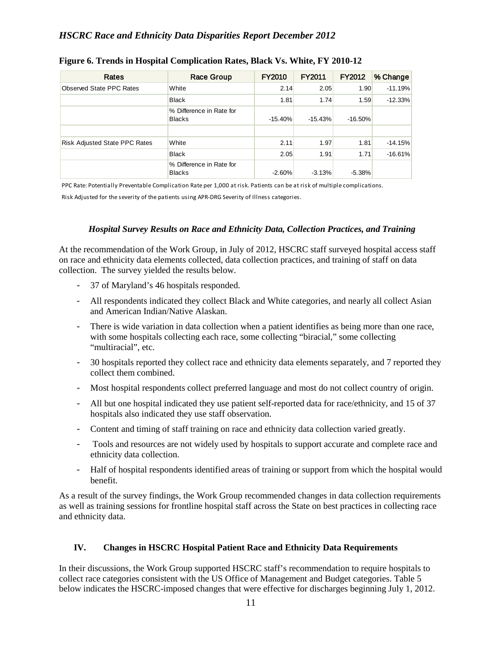| Rates                                | <b>Race Group</b>                         | FY2010    | FY2011    | <b>FY2012</b> | % Change  |
|--------------------------------------|-------------------------------------------|-----------|-----------|---------------|-----------|
| Observed State PPC Rates             | White                                     | 2.14      | 2.05      | 1.90          | $-11.19%$ |
|                                      | <b>Black</b>                              | 1.81      | 1.74      | 1.59          | $-12.33%$ |
|                                      | % Difference in Rate for<br><b>Blacks</b> | $-15.40%$ | $-15.43%$ | $-16.50%$     |           |
| <b>Risk Adjusted State PPC Rates</b> | White                                     | 2.11      | 1.97      | 1.81          | $-14.15%$ |
|                                      | <b>Black</b>                              | 2.05      | 1.91      | 1.71          | $-16.61%$ |
|                                      | % Difference in Rate for<br><b>Blacks</b> | $-2.60%$  | $-3.13%$  | $-5.38%$      |           |

#### **Figure 6. Trends in Hospital Complication Rates, Black Vs. White, FY 2010-12**

PPC Rate: Potentially Preventable Complication Rate per 1,000 at risk. Patients can be at risk of multiple complications.

Risk Adjusted for the severity of the patients using APR-DRG Severity of Illness categories.

#### *Hospital Survey Results on Race and Ethnicity Data, Collection Practices, and Training*

At the recommendation of the Work Group, in July of 2012, HSCRC staff surveyed hospital access staff on race and ethnicity data elements collected, data collection practices, and training of staff on data collection. The survey yielded the results below.

- 37 of Maryland's 46 hospitals responded.
- All respondents indicated they collect Black and White categories, and nearly all collect Asian and American Indian/Native Alaskan.
- There is wide variation in data collection when a patient identifies as being more than one race, with some hospitals collecting each race, some collecting "biracial," some collecting "multiracial", etc.
- 30 hospitals reported they collect race and ethnicity data elements separately, and 7 reported they collect them combined.
- Most hospital respondents collect preferred language and most do not collect country of origin.
- All but one hospital indicated they use patient self-reported data for race/ethnicity, and 15 of 37 hospitals also indicated they use staff observation.
- Content and timing of staff training on race and ethnicity data collection varied greatly.
- Tools and resources are not widely used by hospitals to support accurate and complete race and ethnicity data collection.
- Half of hospital respondents identified areas of training or support from which the hospital would benefit.

As a result of the survey findings, the Work Group recommended changes in data collection requirements as well as training sessions for frontline hospital staff across the State on best practices in collecting race and ethnicity data.

#### **IV. Changes in HSCRC Hospital Patient Race and Ethnicity Data Requirements**

In their discussions, the Work Group supported HSCRC staff's recommendation to require hospitals to collect race categories consistent with the US Office of Management and Budget categories. Table 5 below indicates the HSCRC-imposed changes that were effective for discharges beginning July 1, 2012.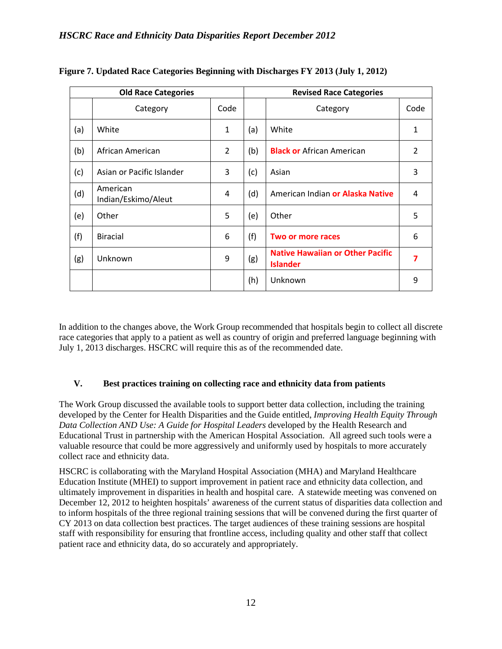|     | <b>Old Race Categories</b>      |                |     | <b>Revised Race Categories</b>                             |      |  |  |  |
|-----|---------------------------------|----------------|-----|------------------------------------------------------------|------|--|--|--|
|     | Category                        | Code           |     | Category                                                   | Code |  |  |  |
| (a) | White                           | 1              | (a) | White                                                      | 1    |  |  |  |
| (b) | African American                | $\overline{2}$ | (b) | <b>Black or</b> African American                           | 2    |  |  |  |
| (c) | Asian or Pacific Islander       | 3              | (c) | Asian                                                      | 3    |  |  |  |
| (d) | American<br>Indian/Eskimo/Aleut | 4              | (d) | American Indian or Alaska Native                           | 4    |  |  |  |
| (e) | Other                           | 5              | (e) | Other                                                      | 5    |  |  |  |
| (f) | <b>Biracial</b>                 | 6              | (f) | Two or more races                                          | 6    |  |  |  |
| (g) | Unknown                         | 9              | (g) | <b>Native Hawaiian or Other Pacific</b><br><b>Islander</b> | 7    |  |  |  |
|     |                                 |                | (h) | Unknown                                                    | 9    |  |  |  |

|  |  | Figure 7. Updated Race Categories Beginning with Discharges FY 2013 (July 1, 2012) |  |
|--|--|------------------------------------------------------------------------------------|--|
|  |  |                                                                                    |  |

In addition to the changes above, the Work Group recommended that hospitals begin to collect all discrete race categories that apply to a patient as well as country of origin and preferred language beginning with July 1, 2013 discharges. HSCRC will require this as of the recommended date.

#### **V. Best practices training on collecting race and ethnicity data from patients**

The Work Group discussed the available tools to support better data collection, including the training developed by the Center for Health Disparities and the Guide entitled, *Improving Health Equity Through Data Collection AND Use: A Guide for Hospital Leaders* developed by the Health Research and Educational Trust in partnership with the American Hospital Association. All agreed such tools were a valuable resource that could be more aggressively and uniformly used by hospitals to more accurately collect race and ethnicity data.

HSCRC is collaborating with the Maryland Hospital Association (MHA) and Maryland Healthcare Education Institute (MHEI) to support improvement in patient race and ethnicity data collection, and ultimately improvement in disparities in health and hospital care. A statewide meeting was convened on December 12, 2012 to heighten hospitals' awareness of the current status of disparities data collection and to inform hospitals of the three regional training sessions that will be convened during the first quarter of CY 2013 on data collection best practices. The target audiences of these training sessions are hospital staff with responsibility for ensuring that frontline access, including quality and other staff that collect patient race and ethnicity data, do so accurately and appropriately.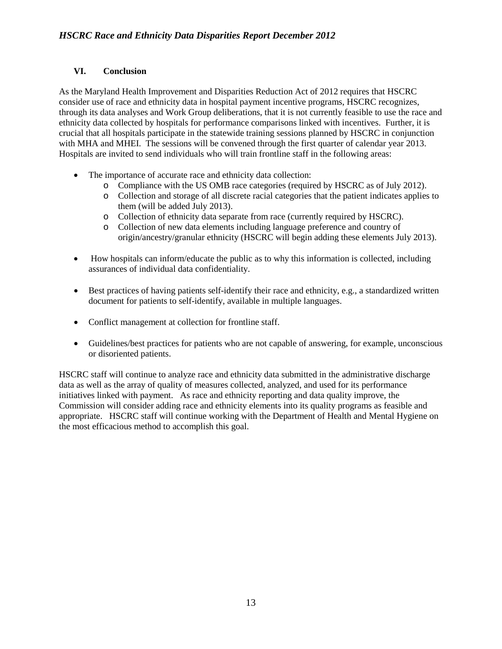#### **VI. Conclusion**

As the Maryland Health Improvement and Disparities Reduction Act of 2012 requires that HSCRC consider use of race and ethnicity data in hospital payment incentive programs, HSCRC recognizes, through its data analyses and Work Group deliberations, that it is not currently feasible to use the race and ethnicity data collected by hospitals for performance comparisons linked with incentives. Further, it is crucial that all hospitals participate in the statewide training sessions planned by HSCRC in conjunction with MHA and MHEI. The sessions will be convened through the first quarter of calendar year 2013. Hospitals are invited to send individuals who will train frontline staff in the following areas:

- The importance of accurate race and ethnicity data collection:
	- o Compliance with the US OMB race categories (required by HSCRC as of July 2012).
	- o Collection and storage of all discrete racial categories that the patient indicates applies to them (will be added July 2013).
	- o Collection of ethnicity data separate from race (currently required by HSCRC).
	- o Collection of new data elements including language preference and country of origin/ancestry/granular ethnicity (HSCRC will begin adding these elements July 2013).
- How hospitals can inform/educate the public as to why this information is collected, including assurances of individual data confidentiality.
- Best practices of having patients self-identify their race and ethnicity, e.g., a standardized written document for patients to self-identify, available in multiple languages.
- Conflict management at collection for frontline staff.
- Guidelines/best practices for patients who are not capable of answering, for example, unconscious or disoriented patients.

HSCRC staff will continue to analyze race and ethnicity data submitted in the administrative discharge data as well as the array of quality of measures collected, analyzed, and used for its performance initiatives linked with payment. As race and ethnicity reporting and data quality improve, the Commission will consider adding race and ethnicity elements into its quality programs as feasible and appropriate. HSCRC staff will continue working with the Department of Health and Mental Hygiene on the most efficacious method to accomplish this goal.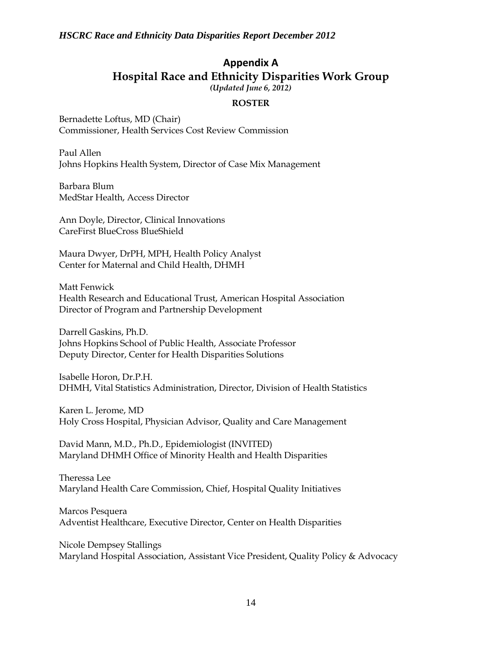# **Appendix A Hospital Race and Ethnicity Disparities Work Group**

*(Updated June 6, 2012)*

#### **ROSTER**

Bernadette Loftus, MD (Chair) Commissioner, Health Services Cost Review Commission

Paul Allen Johns Hopkins Health System, Director of Case Mix Management

Barbara Blum MedStar Health, Access Director

Ann Doyle, Director, Clinical Innovations CareFirst BlueCross BlueShield

Maura Dwyer, DrPH, MPH, Health Policy Analyst Center for Maternal and Child Health, DHMH

Matt Fenwick Health Research and Educational Trust, American Hospital Association Director of Program and Partnership Development

Darrell Gaskins, Ph.D. Johns Hopkins School of Public Health, Associate Professor Deputy Director, Center for Health Disparities Solutions

Isabelle Horon, Dr.P.H. DHMH, Vital Statistics Administration, Director, Division of Health Statistics

Karen L. Jerome, MD Holy Cross Hospital, Physician Advisor, Quality and Care Management

David Mann, M.D., Ph.D., Epidemiologist (INVITED) Maryland DHMH Office of Minority Health and Health Disparities

Theressa Lee Maryland Health Care Commission, Chief, Hospital Quality Initiatives

Marcos Pesquera Adventist Healthcare, Executive Director, Center on Health Disparities

Nicole Dempsey Stallings Maryland Hospital Association, Assistant Vice President, Quality Policy & Advocacy